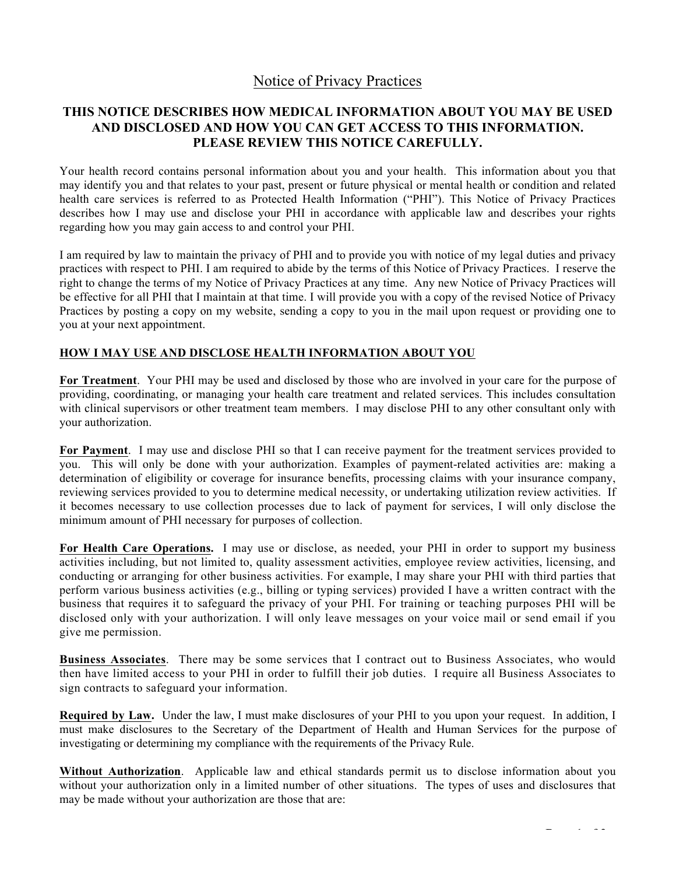# Notice of Privacy Practices

## **THIS NOTICE DESCRIBES HOW MEDICAL INFORMATION ABOUT YOU MAY BE USED AND DISCLOSED AND HOW YOU CAN GET ACCESS TO THIS INFORMATION. PLEASE REVIEW THIS NOTICE CAREFULLY.**

Your health record contains personal information about you and your health. This information about you that may identify you and that relates to your past, present or future physical or mental health or condition and related health care services is referred to as Protected Health Information ("PHI"). This Notice of Privacy Practices describes how I may use and disclose your PHI in accordance with applicable law and describes your rights regarding how you may gain access to and control your PHI.

I am required by law to maintain the privacy of PHI and to provide you with notice of my legal duties and privacy practices with respect to PHI. I am required to abide by the terms of this Notice of Privacy Practices. I reserve the right to change the terms of my Notice of Privacy Practices at any time. Any new Notice of Privacy Practices will be effective for all PHI that I maintain at that time. I will provide you with a copy of the revised Notice of Privacy Practices by posting a copy on my website, sending a copy to you in the mail upon request or providing one to you at your next appointment.

### **HOW I MAY USE AND DISCLOSE HEALTH INFORMATION ABOUT YOU**

**For Treatment**.Your PHI may be used and disclosed by those who are involved in your care for the purpose of providing, coordinating, or managing your health care treatment and related services. This includes consultation with clinical supervisors or other treatment team members. I may disclose PHI to any other consultant only with your authorization.

**For Payment**. I may use and disclose PHI so that I can receive payment for the treatment services provided to you. This will only be done with your authorization. Examples of payment-related activities are: making a determination of eligibility or coverage for insurance benefits, processing claims with your insurance company, reviewing services provided to you to determine medical necessity, or undertaking utilization review activities. If it becomes necessary to use collection processes due to lack of payment for services, I will only disclose the minimum amount of PHI necessary for purposes of collection.

**For Health Care Operations.** I may use or disclose, as needed, your PHI in order to support my business activities including, but not limited to, quality assessment activities, employee review activities, licensing, and conducting or arranging for other business activities. For example, I may share your PHI with third parties that perform various business activities (e.g., billing or typing services) provided I have a written contract with the business that requires it to safeguard the privacy of your PHI. For training or teaching purposes PHI will be disclosed only with your authorization. I will only leave messages on your voice mail or send email if you give me permission.

**Business Associates**. There may be some services that I contract out to Business Associates, who would then have limited access to your PHI in order to fulfill their job duties. I require all Business Associates to sign contracts to safeguard your information.

**Required by Law.** Under the law, I must make disclosures of your PHI to you upon your request. In addition, I must make disclosures to the Secretary of the Department of Health and Human Services for the purpose of investigating or determining my compliance with the requirements of the Privacy Rule.

**Without Authorization**. Applicable law and ethical standards permit us to disclose information about you without your authorization only in a limited number of other situations. The types of uses and disclosures that may be made without your authorization are those that are: